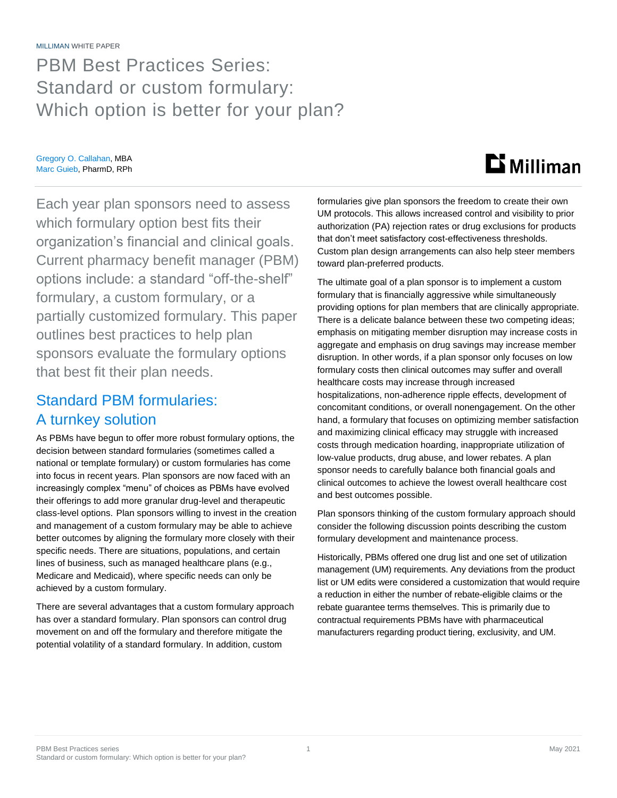MILLIMAN WHITE PAPER

PBM Best Practices Series: Standard or custom formulary: Which option is better for your plan?

Gregory O. Callahan, MBA Marc Guieb, PharmD, RPh

Each year plan sponsors need to assess which formulary option best fits their organization's financial and clinical goals. Current pharmacy benefit manager (PBM) options include: a standard "off-the-shelf" formulary, a custom formulary, or a partially customized formulary. This paper outlines best practices to help plan sponsors evaluate the formulary options that best fit their plan needs.

# Standard PBM formularies: A turnkey solution

As PBMs have begun to offer more robust formulary options, the decision between standard formularies (sometimes called a national or template formulary) or custom formularies has come into focus in recent years. Plan sponsors are now faced with an increasingly complex "menu" of choices as PBMs have evolved their offerings to add more granular drug-level and therapeutic class-level options. Plan sponsors willing to invest in the creation and management of a custom formulary may be able to achieve better outcomes by aligning the formulary more closely with their specific needs. There are situations, populations, and certain lines of business, such as managed healthcare plans (e.g., Medicare and Medicaid), where specific needs can only be achieved by a custom formulary.

There are several advantages that a custom formulary approach has over a standard formulary. Plan sponsors can control drug movement on and off the formulary and therefore mitigate the potential volatility of a standard formulary. In addition, custom

formularies give plan sponsors the freedom to create their own UM protocols. This allows increased control and visibility to prior authorization (PA) rejection rates or drug exclusions for products that don't meet satisfactory cost-effectiveness thresholds. Custom plan design arrangements can also help steer members toward plan-preferred products.

The ultimate goal of a plan sponsor is to implement a custom formulary that is financially aggressive while simultaneously providing options for plan members that are clinically appropriate. There is a delicate balance between these two competing ideas; emphasis on mitigating member disruption may increase costs in aggregate and emphasis on drug savings may increase member disruption. In other words, if a plan sponsor only focuses on low formulary costs then clinical outcomes may suffer and overall healthcare costs may increase through increased hospitalizations, non-adherence ripple effects, development of concomitant conditions, or overall nonengagement. On the other hand, a formulary that focuses on optimizing member satisfaction and maximizing clinical efficacy may struggle with increased costs through medication hoarding, inappropriate utilization of low-value products, drug abuse, and lower rebates. A plan sponsor needs to carefully balance both financial goals and clinical outcomes to achieve the lowest overall healthcare cost and best outcomes possible.

Plan sponsors thinking of the custom formulary approach should consider the following discussion points describing the custom formulary development and maintenance process.

Historically, PBMs offered one drug list and one set of utilization management (UM) requirements. Any deviations from the product list or UM edits were considered a customization that would require a reduction in either the number of rebate-eligible claims or the rebate guarantee terms themselves. This is primarily due to contractual requirements PBMs have with pharmaceutical manufacturers regarding product tiering, exclusivity, and UM.

# $\mathbf{D}$  Milliman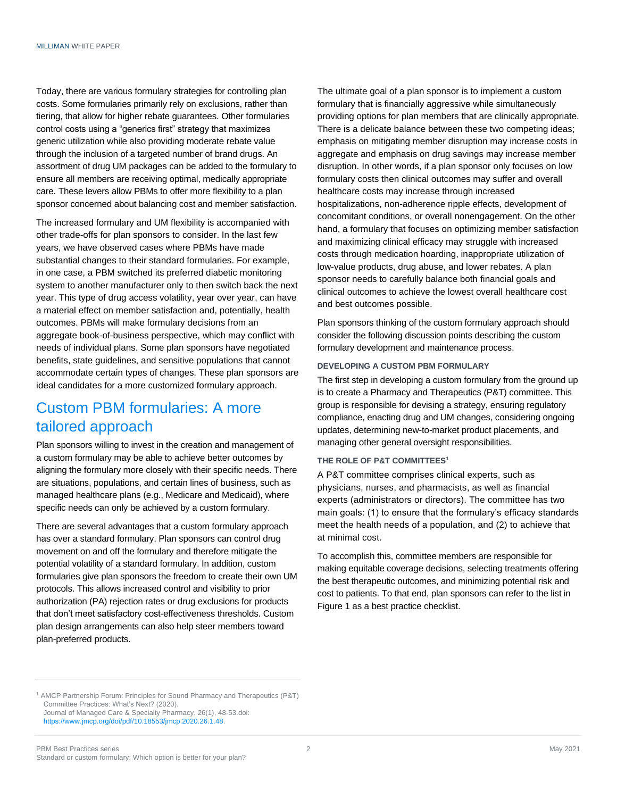Today, there are various formulary strategies for controlling plan costs. Some formularies primarily rely on exclusions, rather than tiering, that allow for higher rebate guarantees. Other formularies control costs using a "generics first" strategy that maximizes generic utilization while also providing moderate rebate value through the inclusion of a targeted number of brand drugs. An assortment of drug UM packages can be added to the formulary to ensure all members are receiving optimal, medically appropriate care. These levers allow PBMs to offer more flexibility to a plan sponsor concerned about balancing cost and member satisfaction.

The increased formulary and UM flexibility is accompanied with other trade-offs for plan sponsors to consider. In the last few years, we have observed cases where PBMs have made substantial changes to their standard formularies. For example, in one case, a PBM switched its preferred diabetic monitoring system to another manufacturer only to then switch back the next year. This type of drug access volatility, year over year, can have a material effect on member satisfaction and, potentially, health outcomes. PBMs will make formulary decisions from an aggregate book-of-business perspective, which may conflict with needs of individual plans. Some plan sponsors have negotiated benefits, state guidelines, and sensitive populations that cannot accommodate certain types of changes. These plan sponsors are ideal candidates for a more customized formulary approach.

# Custom PBM formularies: A more tailored approach

Plan sponsors willing to invest in the creation and management of a custom formulary may be able to achieve better outcomes by aligning the formulary more closely with their specific needs. There are situations, populations, and certain lines of business, such as managed healthcare plans (e.g., Medicare and Medicaid), where specific needs can only be achieved by a custom formulary.

There are several advantages that a custom formulary approach has over a standard formulary. Plan sponsors can control drug movement on and off the formulary and therefore mitigate the potential volatility of a standard formulary. In addition, custom formularies give plan sponsors the freedom to create their own UM protocols. This allows increased control and visibility to prior authorization (PA) rejection rates or drug exclusions for products that don't meet satisfactory cost-effectiveness thresholds. Custom plan design arrangements can also help steer members toward plan-preferred products.

The ultimate goal of a plan sponsor is to implement a custom formulary that is financially aggressive while simultaneously providing options for plan members that are clinically appropriate. There is a delicate balance between these two competing ideas; emphasis on mitigating member disruption may increase costs in aggregate and emphasis on drug savings may increase member disruption. In other words, if a plan sponsor only focuses on low formulary costs then clinical outcomes may suffer and overall healthcare costs may increase through increased hospitalizations, non-adherence ripple effects, development of concomitant conditions, or overall nonengagement. On the other hand, a formulary that focuses on optimizing member satisfaction and maximizing clinical efficacy may struggle with increased costs through medication hoarding, inappropriate utilization of low-value products, drug abuse, and lower rebates. A plan sponsor needs to carefully balance both financial goals and clinical outcomes to achieve the lowest overall healthcare cost and best outcomes possible.

Plan sponsors thinking of the custom formulary approach should consider the following discussion points describing the custom formulary development and maintenance process.

## **DEVELOPING A CUSTOM PBM FORMULARY**

The first step in developing a custom formulary from the ground up is to create a Pharmacy and Therapeutics (P&T) committee. This group is responsible for devising a strategy, ensuring regulatory compliance, enacting drug and UM changes, considering ongoing updates, determining new-to-market product placements, and managing other general oversight responsibilities.

### **THE ROLE OF P&T COMMITTEES<sup>1</sup>**

A P&T committee comprises clinical experts, such as physicians, nurses, and pharmacists, as well as financial experts (administrators or directors). The committee has two main goals: (1) to ensure that the formulary's efficacy standards meet the health needs of a population, and (2) to achieve that at minimal cost.

To accomplish this, committee members are responsible for making equitable coverage decisions, selecting treatments offering the best therapeutic outcomes, and minimizing potential risk and cost to patients. To that end, plan sponsors can refer to the list in Figure 1 as a best practice checklist.

[https://www.jmcp.org/doi/pdf/10.18553/jmcp.2020.26.1.48.](https://www.jmcp.org/doi/pdf/10.18553/jmcp.2020.26.1.48)

<sup>&</sup>lt;sup>1</sup> AMCP Partnership Forum: Principles for Sound Pharmacy and Therapeutics (P&T) Committee Practices: What's Next? (2020). Journal of Managed Care & Specialty Pharmacy, 26(1), 48-53.doi: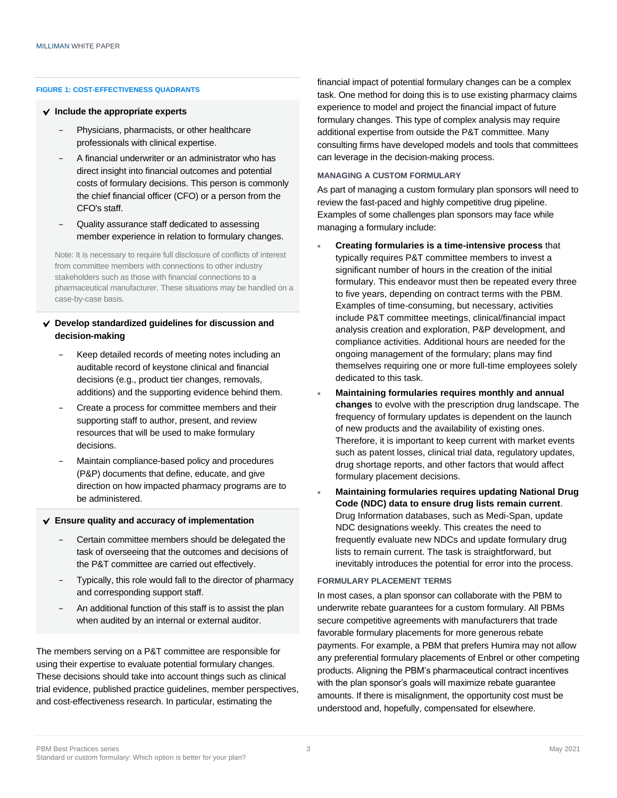#### **FIGURE 1: COST-EFFECTIVENESS QUADRANTS**

#### ✓**Include the appropriate experts**

- − Physicians, pharmacists, or other healthcare professionals with clinical expertise.
- − A financial underwriter or an administrator who has direct insight into financial outcomes and potential costs of formulary decisions. This person is commonly the chief financial officer (CFO) or a person from the CFO's staff.
- Quality assurance staff dedicated to assessing member experience in relation to formulary changes.

Note: It is necessary to require full disclosure of conflicts of interest from committee members with connections to other industry stakeholders such as those with financial connections to a pharmaceutical manufacturer. These situations may be handled on a case-by-case basis.

## ✓**Develop standardized guidelines for discussion and decision-making**

- Keep detailed records of meeting notes including an auditable record of keystone clinical and financial decisions (e.g., product tier changes, removals, additions) and the supporting evidence behind them.
- − Create a process for committee members and their supporting staff to author, present, and review resources that will be used to make formulary decisions.
- Maintain compliance-based policy and procedures (P&P) documents that define, educate, and give direction on how impacted pharmacy programs are to be administered.

#### ✓**Ensure quality and accuracy of implementation**

- − Certain committee members should be delegated the task of overseeing that the outcomes and decisions of the P&T committee are carried out effectively.
- Typically, this role would fall to the director of pharmacy and corresponding support staff.
- − An additional function of this staff is to assist the plan when audited by an internal or external auditor.

The members serving on a P&T committee are responsible for using their expertise to evaluate potential formulary changes. These decisions should take into account things such as clinical trial evidence, published practice guidelines, member perspectives, and cost-effectiveness research. In particular, estimating the

financial impact of potential formulary changes can be a complex task. One method for doing this is to use existing pharmacy claims experience to model and project the financial impact of future formulary changes. This type of complex analysis may require additional expertise from outside the P&T committee. Many consulting firms have developed models and tools that committees can leverage in the decision-making process.

#### **MANAGING A CUSTOM FORMULARY**

As part of managing a custom formulary plan sponsors will need to review the fast-paced and highly competitive drug pipeline. Examples of some challenges plan sponsors may face while managing a formulary include:

- **Creating formularies is a time-intensive process** that typically requires P&T committee members to invest a significant number of hours in the creation of the initial formulary. This endeavor must then be repeated every three to five years, depending on contract terms with the PBM. Examples of time-consuming, but necessary, activities include P&T committee meetings, clinical/financial impact analysis creation and exploration, P&P development, and compliance activities. Additional hours are needed for the ongoing management of the formulary; plans may find themselves requiring one or more full-time employees solely dedicated to this task.
- **Maintaining formularies requires monthly and annual changes** to evolve with the prescription drug landscape. The frequency of formulary updates is dependent on the launch of new products and the availability of existing ones. Therefore, it is important to keep current with market events such as patent losses, clinical trial data, regulatory updates, drug shortage reports, and other factors that would affect formulary placement decisions.
- **Maintaining formularies requires updating National Drug Code (NDC) data to ensure drug lists remain current**. Drug Information databases, such as Medi-Span, update NDC designations weekly. This creates the need to frequently evaluate new NDCs and update formulary drug lists to remain current. The task is straightforward, but inevitably introduces the potential for error into the process.

#### **FORMULARY PLACEMENT TERMS**

In most cases, a plan sponsor can collaborate with the PBM to underwrite rebate guarantees for a custom formulary. All PBMs secure competitive agreements with manufacturers that trade favorable formulary placements for more generous rebate payments. For example, a PBM that prefers Humira may not allow any preferential formulary placements of Enbrel or other competing products. Aligning the PBM's pharmaceutical contract incentives with the plan sponsor's goals will maximize rebate guarantee amounts. If there is misalignment, the opportunity cost must be understood and, hopefully, compensated for elsewhere.